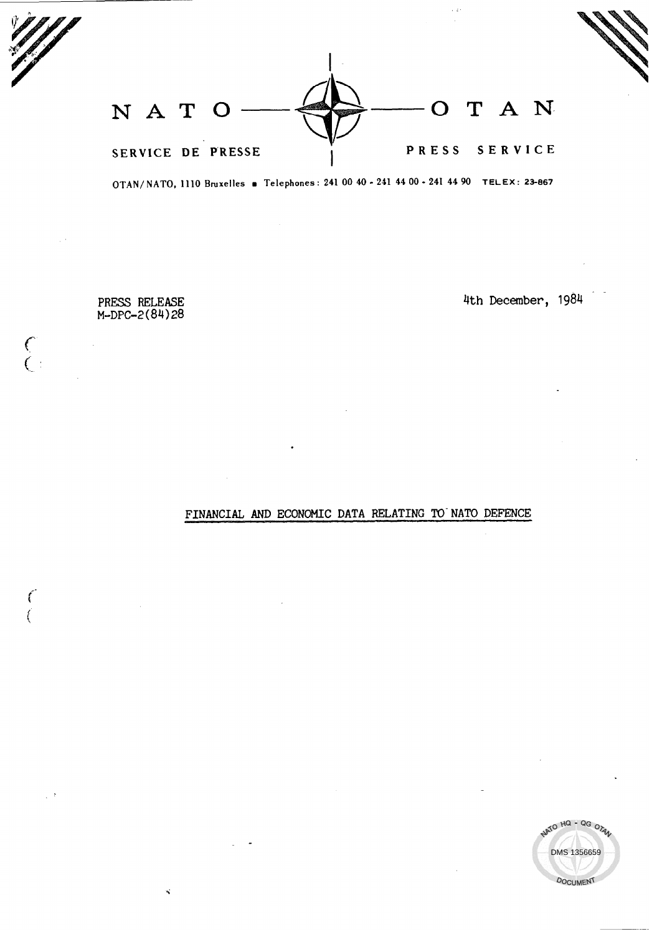NATO  $\longrightarrow$ SERVICE DE PRESSE (PRESS SERVICE

OTAN/NATO, 1110 Bruxelles . Telephones: 241 00 40 - 241 44 00 - 241 44 90 TELEX: 23-867

PRESS RELEASE M-DPC-2(84)28

 $\binom{6}{1}$ 

 $\left($ 

4th December, 1984

## FINANCIAL AND ECONOMIC DATA RELATING TO NATO DEFENCE

.

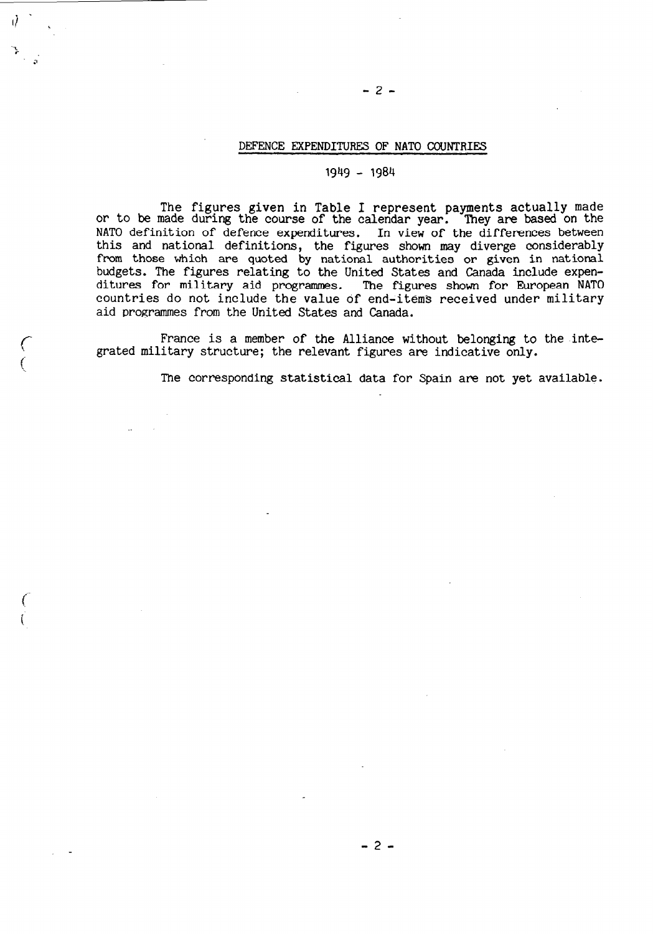### DEFENCE EXPENDITURES OF NATO COUNTRIES

-2-

### 1949 - 1984

The figures given in Table I represent payments actually made or to be made during the course of the calendar year. They are based on the NATO definition of defence expenditures. In view of the differences between this and national definitions, the figures shown may diverge considerably from those which are quoted by national authorities or given in national budgets. The figures relating to the United States and Canada include expenditures for military aid programmes. The figures shown for European NATO countries do not include the value of end-item3 received under military aid programmes from the United States and Canada.

France is a member of the Alliance without belonging to the integrated military structure; the relevant figures are indicative only.

 $\hat{C}$ 

i

The corresponding statistical data for Spain are not yet available.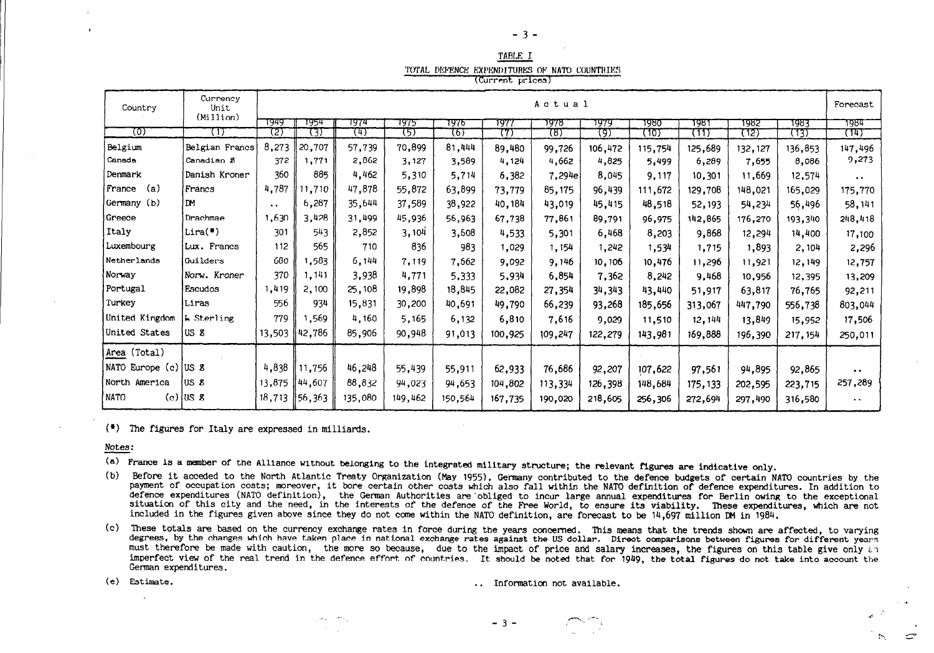| ., | $-$ |  |
|----|-----|--|
|    |     |  |

|  | TABLE I                                      |  |  |  |
|--|----------------------------------------------|--|--|--|
|  | TOTAL DEFENCE EXPENDITURES OF NATO COUNTRIES |  |  |  |
|  | (Current prices)                             |  |  |  |

| Country              | Currency<br>Unit  | Actual               |        |         |         |         |         |                    |         | Forecast |          |         |          |                     |
|----------------------|-------------------|----------------------|--------|---------|---------|---------|---------|--------------------|---------|----------|----------|---------|----------|---------------------|
|                      | (Million)         |                      |        |         |         |         |         |                    |         |          |          |         |          |                     |
| তো                   | (1)               | 7949<br>(2)          | 1954   | 7974    | 1975    | 7976    | 197     | 1978               | 1979    | 1980     | १९४१     | 1982    | 1983     | 1984                |
|                      |                   |                      | (3)    | 74)     | 75)     | रहा     | 77)     | দ্যে               | (9)     | (10)     | (٦Τ      | 72)     | (73)     | (14)                |
| Belgium              | Belgian Francs    | 8,273                | 20,707 | 57,739  | 70,899  | 81,444  | 89,480  | 99,726             | 106,472 | 115,754  | 125,689  | 132,127 | 136,853  | 147,496             |
| Canada               | Canadian S        | 372                  | 1,771  | 2,862   | 3,127   | 3,589   | 4,124   | 4,662              | 4,825   | 5,499    | 6,289    | 7,655   | 8,086    | 9,273               |
| Denmark              | Danish Kroner     | 360                  | 885    | 4,462   | 5,310   | 5,714   | 6,382   | $7,29^{\text{He}}$ | 8,045   | 9,117    | 10,301   | 11,669  | 12,574   | $\bullet$ .         |
| France<br>(a)        | Francs            | 4,787                | 11.710 | 47,878  | 55,872  | 63,899  | 73,779  | 85,175             | 96,439  | 111,672  | 129,708  | 148,021 | 165,029  | 175,770             |
| Germany (b)          | l DM.             | $\ddot{\phantom{1}}$ | 6,287  | 35,644  | 37,589  | 38,922  | 40,184  | 43,019             | 45,415  | 48,518   | 52,193   | 54,234  | 56,496   | 58,141              |
| Greece               | Drachmae          | 1,630                | 3,428  | 31,499  | 45,936  | 56,963  | 67,738  | 77,861             | 89,791  | 96,975   | 142,865  | 176,270 | 193,340  | 248,418             |
| Italy                | $Lira(*)$         | 301                  | 543    | 2,852   | 3,104   | 3,608   | 4,533   | 5,301              | 6,468   | 8,203    | 9,868    | 12,294  | 14,400   | 17,100              |
| Luxembourg           | Lux. Francs       | 112                  | 565    | 710     | 836     | 983     | 1,029   | 1,154              | 1,242   | 1,534    | 1,715    | 1,893   | 2,104    | 2,296               |
| Netherlands          | Guilders          | 680                  | .583   | 6,144   | 7.119   | 7,662   | 9,092   | 9,146              | 10,106  | 10,476   | 11,296   | 11,921  | 12, 149  | 12,757              |
| Norway               | Norw. Kroner      | 370                  | 1.141  | 3,938   | 4,771   | 5,333   | 5,934   | 6,854              | 7,362   | 8,242    | 9,468    | 10,956  | 12,395   | 13,209              |
| Portugal             | Escudos           | 1,419                | 2,100  | 25,108  | 19,898  | 18,845  | 22,082  | 27,354             | 34,343  | 43,440   | 51,917   | 63,817  | 76,765   | 92,211              |
| Turkey               | Liras             | 556                  | 934    | 15,831  | 30,200  | 40.691  | 49,790  | 66,239             | 93,268  | 185,656  | 313,067  | 447,790 | 556,738  | 803,044             |
| United Kingdom       | <b>b</b> Sterling | 779                  | ,569   | 4,160   | 5,165   | 6,132   | 6,810   | 7,616              | 9,029   | 11,510   | 12, 144  | 13,849  | 15,952   | 17,506              |
| United States        | US 8              | 13,503               | 42,786 | 85,906  | 90,948  | 91,013  | 100,925 | 109,247            | 122,279 | 143,981  | 169,888  | 196,390 | 217, 154 | 250,011             |
| Area (Total)         |                   |                      |        |         |         |         |         |                    |         |          |          |         |          |                     |
| NATO Europe (c) US 8 |                   | 4,838                | 11,756 | 46,248  | 55,439  | 55,911  | 62,933  | 76,686             | 92,207  | 107,622  | 97,561   | 94,895  | 92,865   | $\bullet$ $\bullet$ |
| North America        | lus 8             | 13,875               | 44,607 | 88,832  | 94,023  | 94,653  | 104,802 | 113,334            | 126,398 | 148,684  | 175, 133 | 202,595 | 223,715  | 257,289             |
| <b>NATO</b>          | $(c)$ $ US 8$     | 18,713               | 56,363 | 135,080 | 149,462 | 150,564 | 167,735 | 190,020            | 218,605 | 256,306  | 272,694  | 297,490 | 316,580  | $\bullet$           |

 $(*)$  The figures for Italy are expressed in milliards.

Notes:

(a) France is a member of the Alliance without belonging to the integrated military structure; the relevant figures are indicative only.

- (b) Before it acceded to the North Atlantic Treaty Organization (May 1955), Germany contributed to the defence budgets of certain NATO countries by the payment of occupation costs; moreover, it bore certain other costs which also fall within the NATO definition of defence expenditures. In addition to defence expenditures (NATO definition), the German Authorities are obliged to incur large annual expenditures for Berlin owing to the exceptional situation of this city and the need, in the interests of the defence of the Free World, to ensure its viability. These expenditures, which are not included in the figures given above since they do not come within the NATO definition, are forecast to be 14,697 million DM in 1984.
- (c) These totals are based on the currency exchange rates in force during the years concerned. This means that the trends shown are affected, to varying degrees, by the changes which have taken place in national exchange rates against the US dollar. Direct comparisons between figures for different years must therefore be made with caution, the more so because, due to the impact of price and salary increases, the figures on this table give only an imperfect view of the real trend in the defence effort of countries. It should be noted that for 1949, the total figures do not take into account the German expenditures.

(e) Estimate.  $\sim$ 

.. Information not available.

 $\sim$ 

⊂

 $-3 -$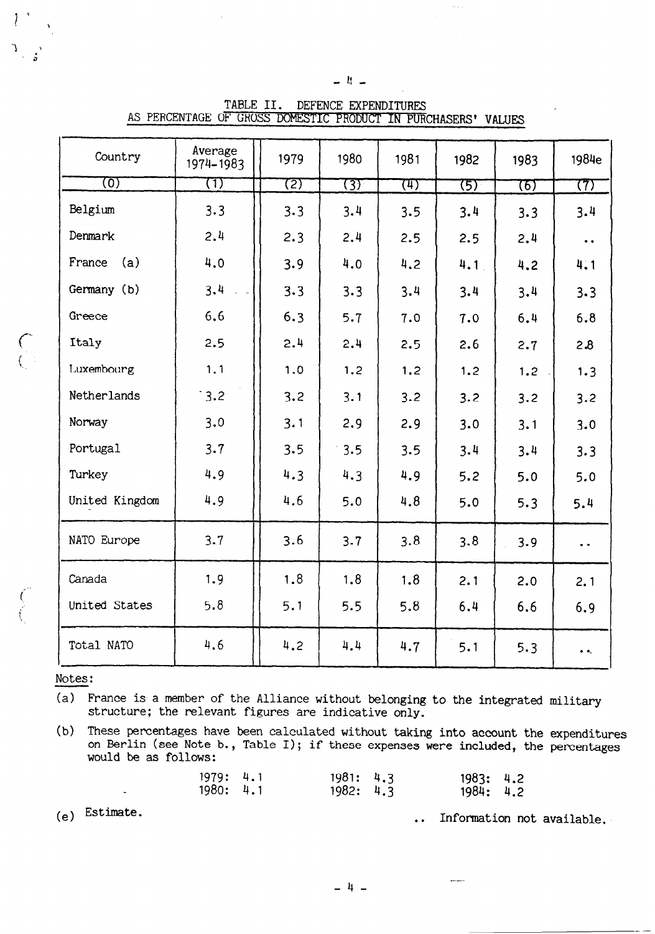| Country        | Average<br>1974-1983 | 1979 | 1980 | 1981 | 1982       | 1983 | 1984e               |
|----------------|----------------------|------|------|------|------------|------|---------------------|
| ত্যে           | $\left(1\right)$     | 727  | ख्य  | (म)  | <b>(5)</b> | 76)  | 77)                 |
| Belgium        | 3.3                  | 3.3  | 3.4  | 3.5  | 3.4        | 3.3  | 3.4                 |
| Denmark        | 2.4                  | 2.3  | 2.4  | 2.5  | 2.5        | 2.4  | $\bullet$ $\bullet$ |
| France<br>(a)  | 4.0                  | 3.9  | 4.0  | 4.2  | 4.1        | 4.2  | 4.1                 |
| Germany (b)    | 3.4                  | 3.3  | 3.3  | 3.4  | 3.4        | 3.4  | 3.3                 |
| Greece         | 6.6                  | 6.3  | 5.7  | 7.0  | 7.0        | 6.4  | 6.8                 |
| Italy          | 2.5                  | 2.4  | 2.4  | 2.5  | 2.6        | 2.7  | 2.8                 |
| Luxembourg     | 1.1                  | 1.0  | 1,2  | 1.2  | 1.2        | 1.2  | 1.3                 |
| Netherlands    | 3.2                  | 3.2  | 3.1  | 3.2  | 3.2        | 3.2  | 3.2                 |
| Norway         | 3.0                  | 3.1  | 2.9  | 2.9  | 3.0        | 3.1  | 3.0                 |
| Portugal       | 3.7                  | 3.5  | 3.5  | 3.5  | 3.4        | 3.4  | 3.3                 |
| Turkey         | 4.9                  | 4.3  | 4.3  | 4.9  | 5.2        | 5.0  | 5.0                 |
| United Kingdom | 4.9                  | 4.6  | 5.0  | 4.8  | 5.0        | 5.3  | 5.4                 |
| NATO Europe    | 3.7                  | 3.6  | 3.7  | 3.8  | 3.8        | 3.9  | $\bullet$ $\bullet$ |
| Canada         | 1.9                  | 1.8  | 1.8  | 1.8  | 2.1        | 2.0  | 2.1                 |
| United States  | 5.8                  | 5.1  | 5.5  | 5.8  | 6.4        | 6.6  | 6.9                 |
| Total NATO     | 4.6                  | 4.2  | 4.4  | 4.7  | 5.1        | 5.3  | $\bullet$           |

TABLE II. DEFENCE EXPENDITURES AS PERCENTAGE OF GROSS DOMESTIC PRODUCT IN PURCHASERS' VALUES

 $-1 -$ 

Notes:

 $\frac{1}{2}$ 

(a) France is a member of the Alliance without belonging to the integrated military structure; the relevant figures are indicative only.

(b) These percentages have been calculated without taking into account the expenditures on Berlin (see Note b., Table I); if these expenses were included, the percentages would be as follows:

| 1979: 4.1 | 1981: 4.3 | 1983: 4.2 |  |
|-----------|-----------|-----------|--|
| 1980: 4.1 | 1982: 4.3 | 1984: 4.2 |  |

(e) Estimate.

. . Information not available.

 $\frac{1}{2}$ 

 $-4-$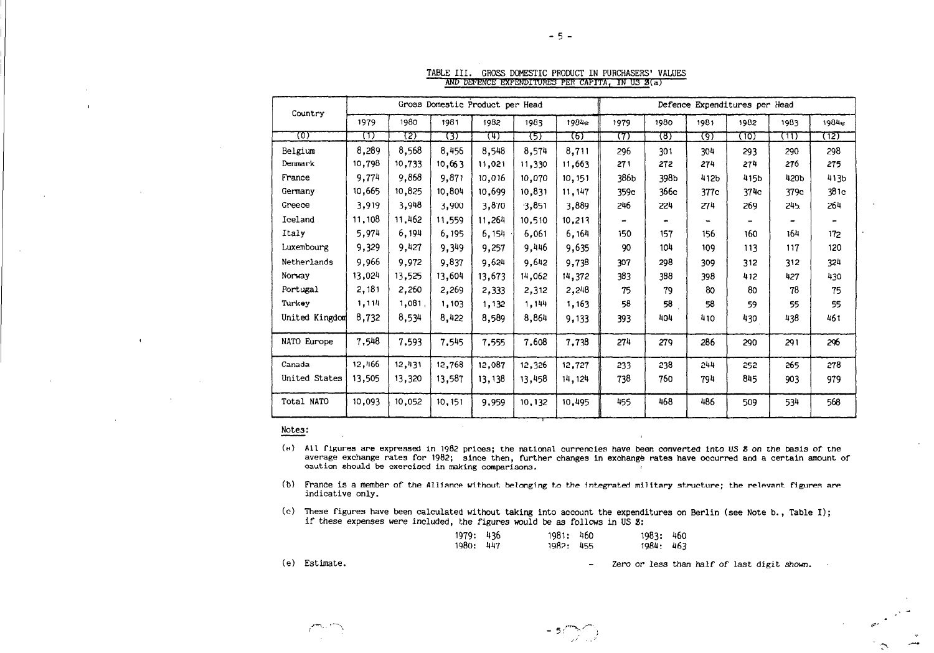|                | Gross Domestic Product per Head |        |         |        |        |         | Defence Expenditures per Head |      |      |      |      |       |
|----------------|---------------------------------|--------|---------|--------|--------|---------|-------------------------------|------|------|------|------|-------|
| Country        | 1979                            | 1980   | 1981    | 1982   | 1983   | 1984e   | 1979                          | 1980 | 1981 | 1982 | 1983 | 1984e |
| চে             | m                               | 72)    | 737     | (म)    | ড়ে    | रहा     | 77)                           | ষ্টো | (9)  | (10) | (11) | (12)  |
| Belgium        | 8,289                           | 8,568  | 8,456   | 8,548  | 8,574  | 8,711   | 296                           | 301  | 304  | 293  | 290  | 298   |
| Denmark        | 10,798                          | 10,733 | 10,663  | 11,021 | 11,330 | 11,663  | 271                           | 272  | 274  | 274  | 276  | 275   |
| France         | 9,774                           | 9,868  | 9,871   | 10.016 | 10,070 | 10, 151 | 386b                          | 398b | 412b | 415b | 420b | 413b  |
| Germany        | 10,665                          | 10,825 | 10,804  | 10.699 | 10,831 | 11, 147 | 359c                          | 366с | 377c | 374c | 379c | 381c  |
| Greece         | 3,919                           | 3,948  | 3,900   | 3,870  | 3,851  | 3,889   | 246                           | 224  | 274  | 269  | 245. | 264   |
| Iceland        | 11,108                          | 11,462 | 11,559  | 11,264 | 10,510 | 10,213  |                               |      | ÷    |      |      |       |
| Italy          | 5,974                           | 6,194  | 6,195   | 6,154  | 6,061  | 6,164   | 150                           | 157  | 156  | 160  | 164  | 172   |
| Luxembourg     | 9,329                           | 9,427  | 9,349   | 9,257  | 9,446  | 9,635   | 90                            | 104  | 109  | 113  | 117  | 120   |
| Netherlands    | 9,966                           | 9,972  | 9,837   | 9,624  | 9,642  | 9,738   | 307                           | 298  | 309  | 312  | 312  | 324   |
| Norway         | 13,024                          | 13,525 | 13,604  | 13.673 | 14,062 | 14,372  | 383                           | 388  | 398  | 412  | 427  | 430   |
| Portugal       | 2,181                           | 2,260  | 2,269   | 2,333  | 2,312  | 2,248   | 75                            | 79   | 80   | 80   | 78   | 75    |
| Turkey         | 1,114                           | 1,081, | 1,103   | 1,132  | 1,144  | 1,163   | 58                            | 58   | 58   | 59   | 55   | 55    |
| United Kingdom | 8,732                           | 8,534  | 8,422   | 8,589  | 8,864  | 9,133   | 393                           | 404  | 410  | 430  | 438  | 461   |
| NATO Europe    | 7,548                           | 7,593  | 7,545   | 7,555  | 7,608  | 7,738   | 274                           | 279  | 286  | 290  | 291  | 296   |
| Canada         | 12,466                          | 12,431 | 12,768  | 12,087 | 12,326 | 12,727  | 233                           | 238  | 244  | 252  | 265  | 278   |
| United States  | 13,505                          | 13,320 | 13,587  | 13,138 | 13,458 | 14, 124 | 738                           | 760  | 794  | 845  | 903  | 979   |
| Total NATO     | 10,093                          | 10,052 | 10, 151 | 9,959  | 10,132 | 10,495  | 455                           | 468  | 486  | 509  | 534  | 568   |

#### TABLE III. GROSS DOMESTIC PRODUCT IN PURCHASERS' VALUES AND DEFENCE EXPENDITURES PER CAPITA, IN US  $g(a)$

#### Notes:

- (a) All figures are expressed in 1982 prices; the national currencies have been converted into US 8 on the basis of the are right of the capitussed in 1982 prices, the hatformal currencies have been converted into 83 8 on the basis of the<br>average exchange rates for 1982; since then, further changes in exchange rates have occurred and a cert
- (b) France is a member of the Alliance without belonging to the integrated military structure; the relevant Figures are indicative only.
- (c) These figures have been calculated without taking into account the expenditures on Berlin (see Note b., Table I); if these expenses were included, the figures would be as Follows in US S:

,--., i'-I , \_ <sup>5</sup>:"-y \*y

| 1979: 436 | 1981: 460 | 1983: 460 |  |
|-----------|-----------|-----------|--|
| 1980: 447 | 1982: 455 | 1984: 463 |  |

(e) Estimate.  $\qquad \qquad - \qquad$  Zero or less than half of last digit shown.

-5-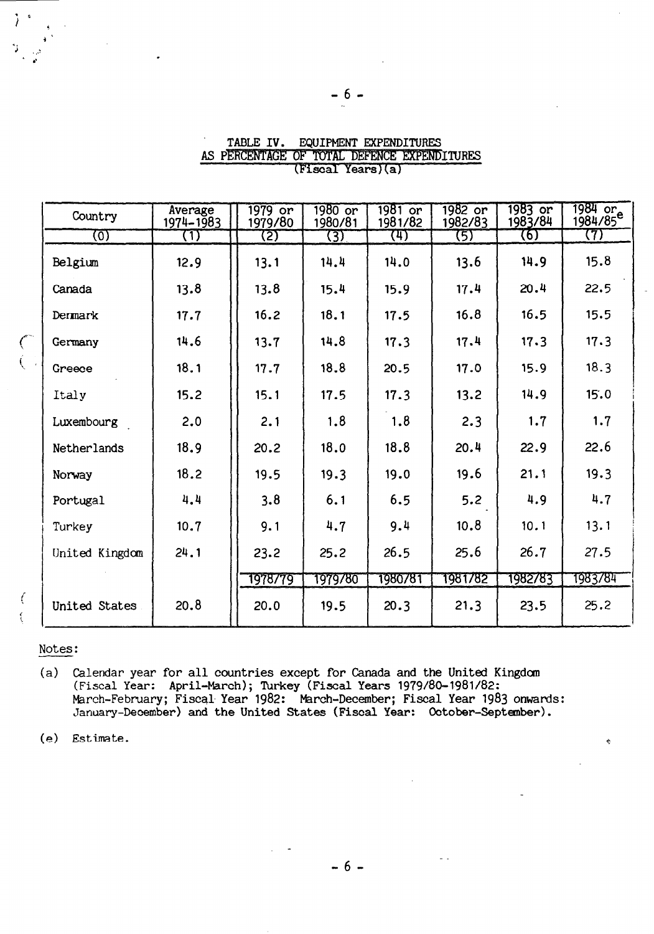| Country        | Average<br>1974-1983 | 1979 or<br>1979/80 | 1980 or<br>1980/81 | 1981 or<br>1981/82 | 1982 or<br>1982/83 | 1983 or<br>1983/84 | 1984 or<br>1984/85 <sup>e</sup> |
|----------------|----------------------|--------------------|--------------------|--------------------|--------------------|--------------------|---------------------------------|
| ত্যে           | (1)                  | (2)                | (3)                | (म)                | (5)                | (6)                | (7)                             |
| Belgium        | 12.9                 | 13.1               | 14.4               | 14.0               | 13.6               | 14.9               | 15.8                            |
| Canada         | 13.8                 | 13.8               | 15.4               | 15.9               | 17.4               | 20.4               | 22.5                            |
| Dermark        | 17.7                 | 16.2               | 18.1               | 17.5               | 16.8               | 16.5               | 15.5                            |
| Germany        | 14.6                 | 13.7               | 14.8               | 17.3               | 17.4               | 17.3               | 17.3                            |
| Greece         | 18.1                 | 17.7               | 18.8               | 20.5               | 17.0               | 15.9               | 18.3                            |
| Italy          | 15.2                 | 15.1               | 17.5               | 17.3               | 13.2               | 14.9               | 15.0                            |
| Luxembourg     | 2.0                  | 2.1                | 1.8                | 1.8                | 2.3                | 1.7                | 1.7                             |
| Netherlands    | 18.9                 | 20.2               | 18.0               | 18.8               | 20.4               | 22.9               | 22.6                            |
| Norway         | 18.2                 | 19.5               | 19.3               | 19.0               | 19.6               | 21.1               | 19.3                            |
| Portugal       | 4.4                  | 3.8                | 6.1                | 6.5                | 5.2                | 4.9                | 4.7                             |
| Turkey         | 10.7                 | 9.1                | 4.7                | 9.4                | 10.8               | 10.1               | 13.1                            |
| United Kingdom | 24.1                 | 23.2               | 25.2               | 26.5               | 25.6               | 26.7               | 27.5                            |
|                |                      | 1978779            | 1979780            | 1980781            | 1981782            | 1982783            | 1983784                         |
| United States  | 20.8                 | 20.0               | 19.5               | 20.3               | 21.3               | 23.5               | 25.2                            |

### TABLE IV. EQUIPMENT EXPENDITURES AS PERCENTAGE OF TOTAL DEFENCE EXPENDITURES (Fiscal Years)(a)

# Notes:

 $\left($  $\left\{ \right.$ 

j,

(a) Calendar year for all countries except for Canada and the United Kingdom (Fiscal Year: April-March); Turkey (Fiscal Years 1979/80-1981/82: March-February; Fiscal Year 1982: March-December; Fiscal Year 1983 onwards: January-December) and the United States (Fiscal Year: October-September).

(e) Estimate.

 $-6-$ 

÷.